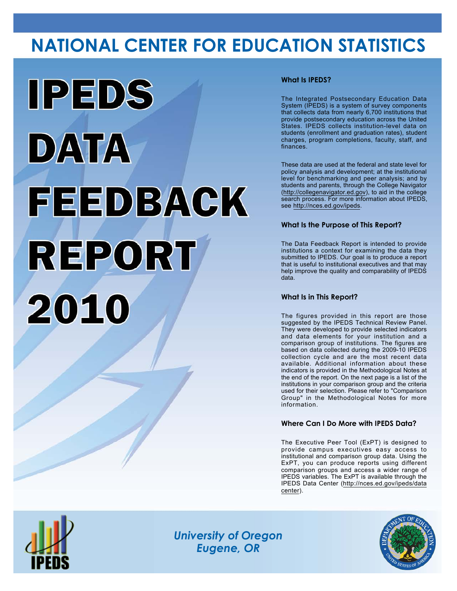# **NATIONAL CENTER FOR EDUCATION STATISTICS**



### **What Is IPEDS?**

The Integrated Postsecondary Education Data System (IPEDS) is a system of survey components that collects data from nearly 6,700 institutions that provide postsecondary education across the United States. IPEDS collects institution-level data on students (enrollment and graduation rates), student charges, program completions, faculty, staff, and finances.

These data are used at the federal and state level for policy analysis and development; at the institutional level for benchmarking and peer analysis; and by students and parents, through the College Navigator (<http://collegenavigator.ed.gov>), to aid in the college search process. For more information about IPEDS, see [http://nces.ed.gov/ipeds.](http://nces.ed.gov/ipeds)

## **What Is the Purpose of This Report?**

The Data Feedback Report is intended to provide institutions a context for examining the data they submitted to IPEDS. Our goal is to produce a report that is useful to institutional executives and that may help improve the quality and comparability of IPEDS data.

### **What Is in This Report?**

The figures provided in this report are those suggested by the IPEDS Technical Review Panel. They were developed to provide selected indicators and data elements for your institution and a comparison group of institutions. The figures are based on data collected during the 2009-10 IPEDS collection cycle and are the most recent data available. Additional information about these indicators is provided in the Methodological Notes at the end of the report. On the next page is a list of the institutions in your comparison group and the criteria used for their selection. Please refer to "Comparison Group" in the Methodological Notes for more information.

### **Where Can I Do More with IPEDS Data?**

The Executive Peer Tool (ExPT) is designed to provide campus executives easy access to institutional and comparison group data. Using the ExPT, you can produce reports using different comparison groups and access a wider range of IPEDS variables. The ExPT is available through the IPEDS Data Center ([http://nces.ed.gov/ipeds/data](http://nces.ed.gov/ipeds/datacenter) [center](http://nces.ed.gov/ipeds/datacenter)).



Image description. Cover Image End of image description.

*University of Oregon Eugene, OR*

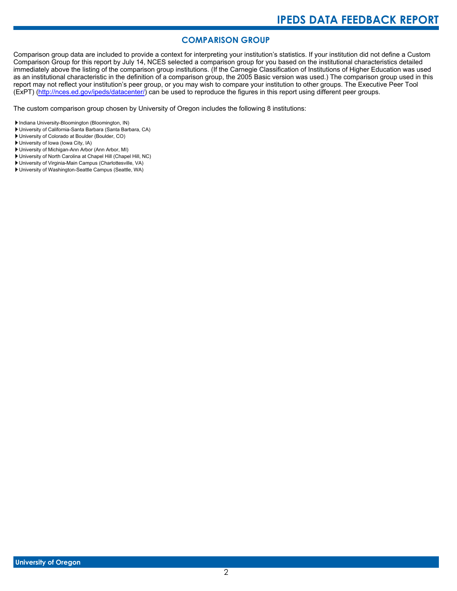# **COMPARISON GROUP**

Comparison group data are included to provide a context for interpreting your institution's statistics. If your institution did not define a Custom Comparison Group for this report by July 14, NCES selected a comparison group for you based on the institutional characteristics detailed immediately above the listing of the comparison group institutions. (If the Carnegie Classification of Institutions of Higher Education was used as an institutional characteristic in the definition of a comparison group, the 2005 Basic version was used.) The comparison group used in this report may not reflect your institution's peer group, or you may wish to compare your institution to other groups. The Executive Peer Tool (ExPT) [\(http://nces.ed.gov/ipeds/datacenter/\)](http://nces.ed.gov/ipeds/datacenter/) can be used to reproduce the figures in this report using different peer groups.

The custom comparison group chosen by University of Oregon includes the following 8 institutions:

Indiana University-Bloomington (Bloomington, IN)

- University of California-Santa Barbara (Santa Barbara, CA)
- University of Colorado at Boulder (Boulder, CO)
- University of Iowa (Iowa City, IA)
- University of Michigan-Ann Arbor (Ann Arbor, MI)
- University of North Carolina at Chapel Hill (Chapel Hill, NC)
- University of Virginia-Main Campus (Charlottesville, VA)
- University of Washington-Seattle Campus (Seattle, WA)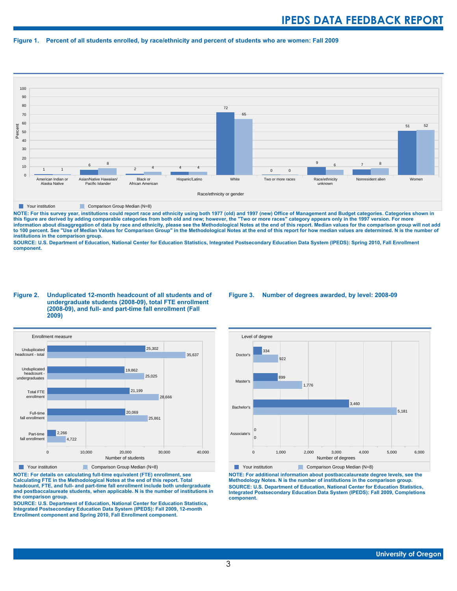#### **Figure 1. Percent of all students enrolled, by race/ethnicity and percent of students who are women: Fall 2009**



**The Comparison Group Median (N=8)** Comparison Group Median (N=8)

NOTE: For this survey year, institutions could report race and ethnicity using both 1977 (old) and 1997 (new) Office of Management and Budget categories. Categories shown in<br>this figure are derived by adding comparable cat **information about disaggregation of data by race and ethnicity, please see the Methodological Notes at the end of this report. Median values for the comparison group will not add to 100 percent. See "Use of Median Values for Comparison Group" in the Methodological Notes at the end of this report for how median values are determined. N is the number of institutions in the comparison group.**

**SOURCE: U.S. Department of Education, National Center for Education Statistics, Integrated Postsecondary Education Data System (IPEDS): Spring 2010, Fall Enrollment component.**

#### **Figure 2. Unduplicated 12-month headcount of all students and of undergraduate students (2008-09), total FTE enrollment (2008-09), and full- and part-time fall enrollment (Fall 2009)**



Your institution Comparison Group Median (N=8)

**NOTE: For details on calculating full-time equivalent (FTE) enrollment, see Calculating FTE in the Methodological Notes at the end of this report. Total headcount, FTE, and full- and part-time fall enrollment include both undergraduate and postbaccalaureate students, when applicable. N is the number of institutions in the comparison group.**

**SOURCE: U.S. Department of Education, National Center for Education Statistics, Integrated Postsecondary Education Data System (IPEDS): Fall 2009, 12-month Enrollment component and Spring 2010, Fall Enrollment component.**

#### **Figure 3. Number of degrees awarded, by level: 2008-09**



**Your institution** Comparison Group Median (N=8)

**NOTE: For additional information about postbaccalaureate degree levels, see the Methodology Notes. N is the number of institutions in the comparison group. SOURCE: U.S. Department of Education, National Center for Education Statistics, Integrated Postsecondary Education Data System (IPEDS): Fall 2009, Completions component.**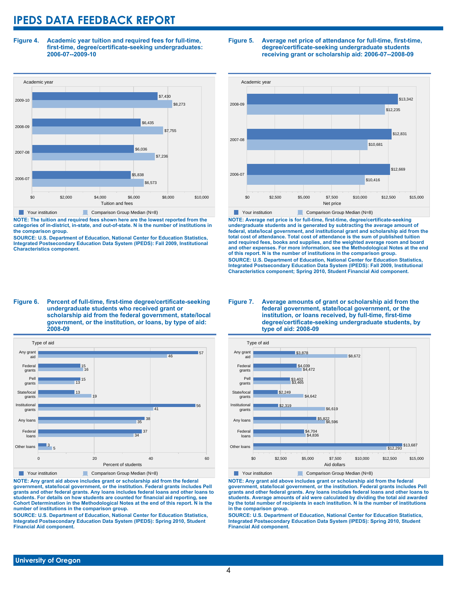**Figure 4. Academic year tuition and required fees for full-time, first-time, degree/certificate-seeking undergraduates: 2006-07--2009-10**



**NOTE: The tuition and required fees shown here are the lowest reported from the categories of in-district, in-state, and out-of-state. N is the number of institutions in the comparison group.**

**SOURCE: U.S. Department of Education, National Center for Education Statistics, Integrated Postsecondary Education Data System (IPEDS): Fall 2009, Institutional Characteristics component.**

#### **Figure 5. Average net price of attendance for full-time, first-time, degree/certificate-seeking undergraduate students receiving grant or scholarship aid: 2006-07--2008-09**



**NOTE: Average net price is for full-time, first-time, degree/certificate-seeking undergraduate students and is generated by subtracting the average amount of federal, state/local government, and institutional grant and scholarship aid from the total cost of attendance. Total cost of attendance is the sum of published tuition and required fees, books and supplies, and the weighted average room and board and other expenses. For more information, see the Methodological Notes at the end of this report. N is the number of institutions in the comparison group. SOURCE: U.S. Department of Education, National Center for Education Statistics, Integrated Postsecondary Education Data System (IPEDS): Fall 2009, Institutional Characteristics component; Spring 2010, Student Financial Aid component.**

#### **Figure 6. Percent of full-time, first-time degree/certificate-seeking undergraduate students who received grant or scholarship aid from the federal government, state/local government, or the institution, or loans, by type of aid: 2008-09**



**NOTE: Any grant aid above includes grant or scholarship aid from the federal government, state/local government, or the institution. Federal grants includes Pell grants and other federal grants. Any loans includes federal loans and other loans to students. For details on how students are counted for financial aid reporting, see Cohort Determination in the Methodological Notes at the end of this report. N is the number of institutions in the comparison group.**

**SOURCE: U.S. Department of Education, National Center for Education Statistics, Integrated Postsecondary Education Data System (IPEDS): Spring 2010, Student Financial Aid component.**

#### **Figure 7. Average amounts of grant or scholarship aid from the federal government, state/local government, or the institution, or loans received, by full-time, first-time degree/certificate-seeking undergraduate students, by type of aid: 2008-09**



**NOTE: Any grant aid above includes grant or scholarship aid from the federal government, state/local government, or the institution. Federal grants includes Pell grants and other federal grants. Any loans includes federal loans and other loans to students. Average amounts of aid were calculated by dividing the total aid awarded by the total number of recipients in each institution. N is the number of institutions in the comparison group.**

**SOURCE: U.S. Department of Education, National Center for Education Statistics, Integrated Postsecondary Education Data System (IPEDS): Spring 2010, Student Financial Aid component.**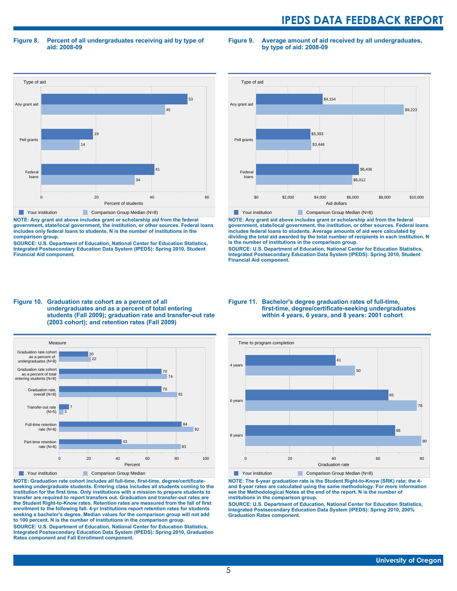**Figure 8. Percent of all undergraduates receiving aid by type of aid: 2008-09**

**Figure 9. Average amount of aid received by all undergraduates, by type of aid: 2008-09**



**NOTE: Any grant aid above includes grant or scholarship aid from the federal government, state/local government, the institution, or other sources. Federal loans includes only federal loans to students. N is the number of institutions in the comparison group.**

**SOURCE: U.S. Department of Education, National Center for Education Statistics, Integrated Postsecondary Education Data System (IPEDS): Spring 2010, Student Financial Aid component.**



**NOTE: Any grant aid above includes grant or scholarship aid from the federal government, state/local government, the institution, or other sources. Federal loans includes federal loans to students. Average amounts of aid were calculated by dividing the total aid awarded by the total number of recipients in each institution. N is the number of institutions in the comparison group.**

**SOURCE: U.S. Department of Education, National Center for Education Statistics, Integrated Postsecondary Education Data System (IPEDS): Spring 2010, Student Financial Aid component.**





**NOTE: Graduation rate cohort includes all full-time, first-time, degree/certificateseeking undergraduate students. Entering class includes all students coming to the institution for the first time. Only institutions with a mission to prepare students to transfer are required to report transfers out. Graduation and transfer-out rates are the Student Right-to-Know rates. Retention rates are measured from the fall of first enrollment to the following fall. 4-yr institutions report retention rates for students seeking a bachelor's degree. Median values for the comparison group will not add to 100 percent. N is the number of institutions in the comparison group.**

**SOURCE: U.S. Department of Education, National Center for Education Statistics, Integrated Postsecondary Education Data System (IPEDS): Spring 2010, Graduation Rates component and Fall Enrollment component.**

#### **Figure 11. Bachelor's degree graduation rates of full-time, first-time, degree/certificate-seeking undergraduates within 4 years, 6 years, and 8 years: 2001 cohort**



**NOTE: The 6-year graduation rate is the Student Right-to-Know (SRK) rate; the 4 and 8-year rates are calculated using the same methodology. For more information see the Methodological Notes at the end of the report. N is the number of institutions in the comparison group.**

**SOURCE: U.S. Department of Education, National Center for Education Statistics, Integrated Postsecondary Education Data System (IPEDS): Spring 2010, 200% Graduation Rates component.**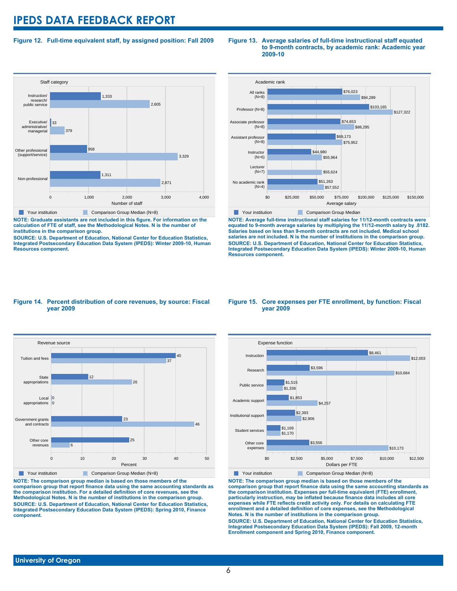### **Figure 12. Full-time equivalent staff, by assigned position: Fall 2009**

#### **Staff category** 0 1,000 2,000 3,000 4,000 Number of staff Non-professional Other professional (support/service) Executive/ administrative/ managerial Instruction/ research/ public service  $2,87$ 1,311 3,329 958 379 **33** 2,605 1,333 **The Your institution** Comparison Group Median (N=8)

**NOTE: Graduate assistants are not included in this figure. For information on the calculation of FTE of staff, see the Methodological Notes. N is the number of institutions in the comparison group.**

**SOURCE: U.S. Department of Education, National Center for Education Statistics, Integrated Postsecondary Education Data System (IPEDS): Winter 2009-10, Human Resources component.**

#### **Figure 13. Average salaries of full-time instructional staff equated to 9-month contracts, by academic rank: Academic year 2009-10**



**NOTE: Average full-time instructional staff salaries for 11/12-month contracts were equated to 9-month average salaries by multiplying the 11/12-month salary by .8182. Salaries based on less than 9-month contracts are not included. Medical school salaries are not included. N is the number of institutions in the comparison group. SOURCE: U.S. Department of Education, National Center for Education Statistics, Integrated Postsecondary Education Data System (IPEDS): Winter 2009-10, Human Resources component.**

#### **Figure 14. Percent distribution of core revenues, by source: Fiscal year 2009**



**NOTE: The comparison group median is based on those members of the comparison group that report finance data using the same accounting standards as the comparison institution. For a detailed definition of core revenues, see the Methodological Notes. N is the number of institutions in the comparison group. SOURCE: U.S. Department of Education, National Center for Education Statistics, Integrated Postsecondary Education Data System (IPEDS): Spring 2010, Finance component.**

#### **Figure 15. Core expenses per FTE enrollment, by function: Fiscal year 2009**



**NOTE: The comparison group median is based on those members of the comparison group that report finance data using the same accounting standards as the comparison institution. Expenses per full-time equivalent (FTE) enrollment, particularly instruction, may be inflated because finance data includes all core expenses while FTE reflects credit activity only. For details on calculating FTE enrollment and a detailed definition of core expenses, see the Methodological Notes. N is the number of institutions in the comparison group. SOURCE: U.S. Department of Education, National Center for Education Statistics, Integrated Postsecondary Education Data System (IPEDS): Fall 2009, 12-month Enrollment component and Spring 2010, Finance component.**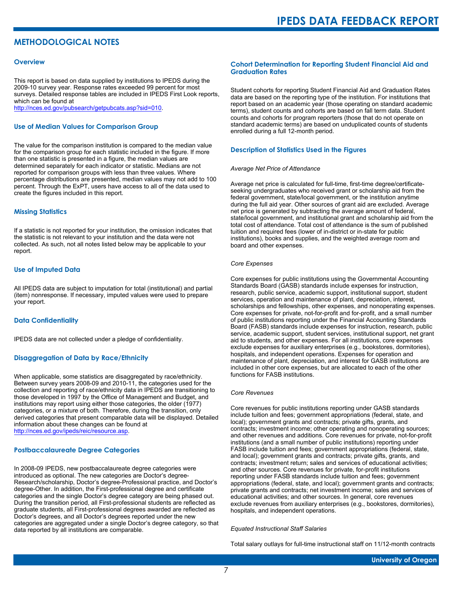# **METHODOLOGICAL NOTES**

#### **Overview**

This report is based on data supplied by institutions to IPEDS during the 2009-10 survey year. Response rates exceeded 99 percent for most surveys. Detailed response tables are included in IPEDS First Look reports, which can be found at [http://nces.ed.gov/pubsearch/getpubcats.asp?sid=010.](http://nces.ed.gov/pubsearch/getpubcats.asp?sid=010)

#### **Use of Median Values for Comparison Group**

The value for the comparison institution is compared to the median value for the comparison group for each statistic included in the figure. If more than one statistic is presented in a figure, the median values are determined separately for each indicator or statistic. Medians are not reported for comparison groups with less than three values. Where percentage distributions are presented, median values may not add to 100 percent. Through the ExPT, users have access to all of the data used to create the figures included in this report.

#### **Missing Statistics**

If a statistic is not reported for your institution, the omission indicates that the statistic is not relevant to your institution and the data were not collected. As such, not all notes listed below may be applicable to your report.

#### **Use of Imputed Data**

All IPEDS data are subject to imputation for total (institutional) and partial (item) nonresponse. If necessary, imputed values were used to prepare your report.

#### **Data Confidentiality**

IPEDS data are not collected under a pledge of confidentiality.

#### **Disaggregation of Data by Race/Ethnicity**

When applicable, some statistics are disaggregated by race/ethnicity. Between survey years 2008-09 and 2010-11, the categories used for the collection and reporting of race/ethnicity data in IPEDS are transitioning to those developed in 1997 by the Office of Management and Budget, and institutions may report using either those categories, the older (1977) categories, or a mixture of both. Therefore, during the transition, only derived categories that present comparable data will be displayed. Detailed information about these changes can be found at <http://nces.ed.gov/ipeds/reic/resource.asp>.

#### **Postbaccalaureate Degree Categories**

In 2008-09 IPEDS, new postbaccalaureate degree categories were introduced as optional. The new categories are Doctor's degree-Research/scholarship, Doctor's degree-Professional practice, and Doctor's degree-Other. In addition, the First-professional degree and certificate categories and the single Doctor's degree category are being phased out. During the transition period, all First-professional students are reflected as graduate students, all First-professional degrees awarded are reflected as Doctor's degrees, and all Doctor's degrees reported under the new categories are aggregated under a single Doctor's degree category, so that data reported by all institutions are comparable.

#### **Cohort Determination for Reporting Student Financial Aid and Graduation Rates**

Student cohorts for reporting Student Financial Aid and Graduation Rates data are based on the reporting type of the institution. For institutions that report based on an academic year (those operating on standard academic terms), student counts and cohorts are based on fall term data. Student counts and cohorts for program reporters (those that do not operate on standard academic terms) are based on unduplicated counts of students enrolled during a full 12-month period.

#### **Description of Statistics Used in the Figures**

#### *Average Net Price of Attendance*

Average net price is calculated for full-time, first-time degree/certificateseeking undergraduates who received grant or scholarship aid from the federal government, state/local government, or the institution anytime during the full aid year. Other sources of grant aid are excluded. Average net price is generated by subtracting the average amount of federal, state/local government, and institutional grant and scholarship aid from the total cost of attendance. Total cost of attendance is the sum of published tuition and required fees (lower of in-district or in-state for public institutions), books and supplies, and the weighted average room and board and other expenses.

#### *Core Expenses*

Core expenses for public institutions using the Governmental Accounting Standards Board (GASB) standards include expenses for instruction, research, public service, academic support, institutional support, student services, operation and maintenance of plant, depreciation, interest, scholarships and fellowships, other expenses, and nonoperating expenses. Core expenses for private, not-for-profit and for-profit, and a small number of public institutions reporting under the Financial Accounting Standards Board (FASB) standards include expenses for instruction, research, public service, academic support, student services, institutional support, net grant aid to students, and other expenses. For all institutions, core expenses exclude expenses for auxiliary enterprises (e.g., bookstores, dormitories), hospitals, and independent operations. Expenses for operation and maintenance of plant, depreciation, and interest for GASB institutions are included in other core expenses, but are allocated to each of the other functions for FASB institutions.

#### *Core Revenues*

Core revenues for public institutions reporting under GASB standards include tuition and fees; government appropriations (federal, state, and local); government grants and contracts; private gifts, grants, and contracts; investment income; other operating and nonoperating sources; and other revenues and additions. Core revenues for private, not-for-profit institutions (and a small number of public institutions) reporting under FASB include tuition and fees; government appropriations (federal, state, and local); government grants and contracts; private gifts, grants, and contracts; investment return; sales and services of educational activities; and other sources. Core revenues for private, for-profit institutions reporting under FASB standards include tuition and fees; government appropriations (federal, state, and local); government grants and contracts; private grants and contracts; net investment income; sales and services of educational activities; and other sources. In general, core revenues exclude revenues from auxiliary enterprises (e.g., bookstores, dormitories), hospitals, and independent operations.

#### *Equated Instructional Staff Salaries*

Total salary outlays for full-time instructional staff on 11/12-month contracts